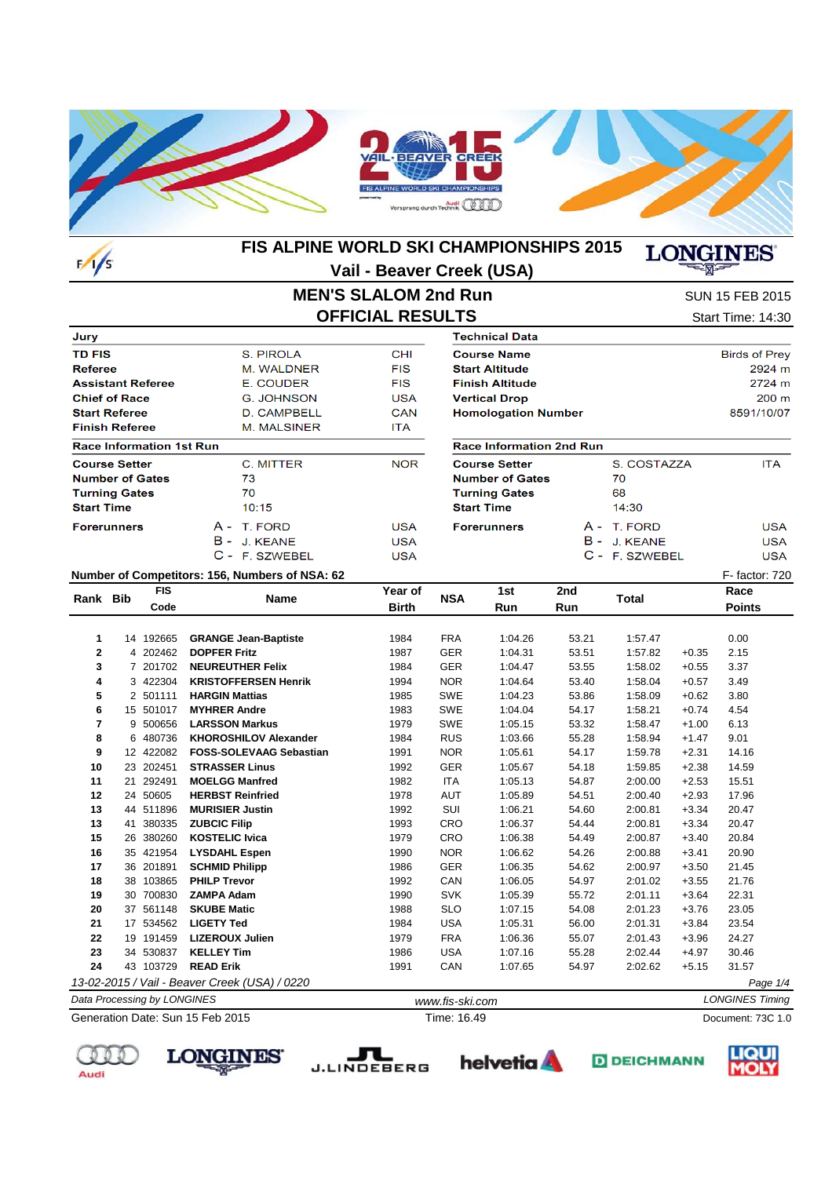

#### **FIS ALPINE WORLD SKI CHAMPIONSHIPS 2015 LONGINES Vail - Beaver Creek (USA)**

### 宻

### **MEN'S SLALOM 2nd Run OFFICIAL RESULTS** Start Time: 14:30

SUN 15 FEB 2015

| Jury                            |                        |            | <b>Technical Data</b>  |
|---------------------------------|------------------------|------------|------------------------|
| <b>TD FIS</b>                   | S. PIROLA              | <b>CHI</b> | <b>Course Name</b>     |
| <b>Referee</b>                  | M. WALDNER             | <b>FIS</b> | <b>Start Altitude</b>  |
| <b>Assistant Referee</b>        | E. COUDER              | <b>FIS</b> | <b>Finish Altitude</b> |
| <b>Chief of Race</b>            | G. JOHNSON             | <b>USA</b> | <b>Vertical Drop</b>   |
| <b>Start Referee</b>            | D. CAMPBELL            | <b>CAN</b> | <b>Homologation</b>    |
| <b>Finish Referee</b>           | M. MALSINER            | ITA.       |                        |
| <b>Race Information 1st Run</b> |                        |            | Race Informati         |
| <b>Course Setter</b>            | C. MITTER              | <b>NOR</b> | <b>Course Setter</b>   |
| <b>Number of Gates</b>          | 73                     |            | <b>Number of Gat</b>   |
| <b>Turning Gates</b>            | 70                     |            | <b>Turning Gates</b>   |
| <b>Start Time</b>               | 10:15                  |            | <b>Start Time</b>      |
| <b>Forerunners</b>              | T. FORD<br>A -         | <b>USA</b> | <b>Forerunners</b>     |
|                                 | в -<br><b>J. KEANE</b> | <b>USA</b> |                        |
|                                 | C - F. SZWEBEL         | <b>USA</b> |                        |

| <b>Course Name</b>              |             | Birds of Prey   |
|---------------------------------|-------------|-----------------|
| <b>Start Altitude</b>           |             | 2924 m          |
| <b>Finish Altitude</b>          |             | 2724 m          |
| <b>Vertical Drop</b>            |             | $200 \text{ m}$ |
| <b>Homologation Number</b>      |             | 8591/10/07      |
|                                 |             |                 |
|                                 |             |                 |
| <b>Race Information 2nd Run</b> |             |                 |
| <b>Course Setter</b>            | S. COSTAZZA | <b>ITA</b>      |
| <b>Number of Gates</b>          | 70          |                 |
| <b>Turning Gates</b>            | 68          |                 |

| 14:30          |            |
|----------------|------------|
| A - T. FORD    | USA        |
| B - J. KEANE   | <b>USA</b> |
| C - F. SZWEBEL | USA        |

#### **Number of Competitors: 156, Numbers of NSA: 62** F- factor: 720

| Rank Bib       |    | <b>FIS</b>                  | Name                                          | Year of      | <b>NSA</b>      | 1st     | 2nd   | <b>Total</b> |         | Race                   |
|----------------|----|-----------------------------|-----------------------------------------------|--------------|-----------------|---------|-------|--------------|---------|------------------------|
|                |    | Code                        |                                               | <b>Birth</b> |                 | Run     | Run   |              |         | <b>Points</b>          |
|                |    |                             |                                               |              |                 |         |       |              |         |                        |
| 1              |    | 14 192665                   | <b>GRANGE Jean-Baptiste</b>                   | 1984         | <b>FRA</b>      | 1:04.26 | 53.21 | 1:57.47      |         | 0.00                   |
| $\mathbf{2}$   |    | 4 202462                    | <b>DOPFER Fritz</b>                           | 1987         | <b>GER</b>      | 1:04.31 | 53.51 | 1:57.82      | $+0.35$ | 2.15                   |
| 3              |    | 7 201702                    | <b>NEUREUTHER Felix</b>                       | 1984         | <b>GER</b>      | 1:04.47 | 53.55 | 1:58.02      | $+0.55$ | 3.37                   |
| 4              |    | 3 422304                    | <b>KRISTOFFERSEN Henrik</b>                   | 1994         | <b>NOR</b>      | 1:04.64 | 53.40 | 1:58.04      | $+0.57$ | 3.49                   |
| 5              |    | 2 501111                    | <b>HARGIN Mattias</b>                         | 1985         | SWE             | 1:04.23 | 53.86 | 1:58.09      | $+0.62$ | 3.80                   |
| 6              |    | 15 501017                   | <b>MYHRER Andre</b>                           | 1983         | <b>SWE</b>      | 1:04.04 | 54.17 | 1:58.21      | $+0.74$ | 4.54                   |
| $\overline{7}$ |    | 9 500656                    | <b>LARSSON Markus</b>                         | 1979         | <b>SWE</b>      | 1:05.15 | 53.32 | 1:58.47      | $+1.00$ | 6.13                   |
| 8              |    | 6 480736                    | <b>KHOROSHILOV Alexander</b>                  | 1984         | <b>RUS</b>      | 1:03.66 | 55.28 | 1:58.94      | $+1.47$ | 9.01                   |
| 9              |    | 12 422082                   | <b>FOSS-SOLEVAAG Sebastian</b>                | 1991         | <b>NOR</b>      | 1:05.61 | 54.17 | 1:59.78      | $+2.31$ | 14.16                  |
| 10             |    | 23 202451                   | <b>STRASSER Linus</b>                         | 1992         | <b>GER</b>      | 1:05.67 | 54.18 | 1:59.85      | $+2.38$ | 14.59                  |
| 11             | 21 | 292491                      | <b>MOELGG Manfred</b>                         | 1982         | <b>ITA</b>      | 1:05.13 | 54.87 | 2:00.00      | $+2.53$ | 15.51                  |
| 12             |    | 24 50605                    | <b>HERBST Reinfried</b>                       | 1978         | AUT             | 1:05.89 | 54.51 | 2:00.40      | $+2.93$ | 17.96                  |
| 13             |    | 44 511896                   | <b>MURISIER Justin</b>                        | 1992         | SUI             | 1:06.21 | 54.60 | 2:00.81      | $+3.34$ | 20.47                  |
| 13             | 41 | 380335                      | <b>ZUBCIC Filip</b>                           | 1993         | CRO             | 1:06.37 | 54.44 | 2:00.81      | $+3.34$ | 20.47                  |
| 15             |    | 26 380260                   | <b>KOSTELIC Ivica</b>                         | 1979         | CRO             | 1:06.38 | 54.49 | 2:00.87      | $+3.40$ | 20.84                  |
| 16             |    | 35 421954                   | <b>LYSDAHL Espen</b>                          | 1990         | <b>NOR</b>      | 1:06.62 | 54.26 | 2:00.88      | $+3.41$ | 20.90                  |
| 17             |    | 36 201891                   | <b>SCHMID Philipp</b>                         | 1986         | <b>GER</b>      | 1:06.35 | 54.62 | 2:00.97      | $+3.50$ | 21.45                  |
| 18             |    | 38 103865                   | <b>PHILP Trevor</b>                           | 1992         | CAN             | 1:06.05 | 54.97 | 2:01.02      | $+3.55$ | 21.76                  |
| 19             |    | 30 700830                   | <b>ZAMPA Adam</b>                             | 1990         | <b>SVK</b>      | 1:05.39 | 55.72 | 2:01.11      | $+3.64$ | 22.31                  |
| 20             |    | 37 561148                   | <b>SKUBE Matic</b>                            | 1988         | <b>SLO</b>      | 1:07.15 | 54.08 | 2:01.23      | $+3.76$ | 23.05                  |
| 21             |    | 17 534562                   | <b>LIGETY Ted</b>                             | 1984         | <b>USA</b>      | 1:05.31 | 56.00 | 2:01.31      | $+3.84$ | 23.54                  |
| 22             |    | 19 191459                   | <b>LIZEROUX Julien</b>                        | 1979         | <b>FRA</b>      | 1:06.36 | 55.07 | 2:01.43      | $+3.96$ | 24.27                  |
| 23             |    | 34 530837                   | <b>KELLEY Tim</b>                             | 1986         | <b>USA</b>      | 1:07.16 | 55.28 | 2:02.44      | $+4.97$ | 30.46                  |
| 24             |    | 43 103729                   | <b>READ Erik</b>                              | 1991         | CAN             | 1:07.65 | 54.97 | 2:02.62      | $+5.15$ | 31.57                  |
|                |    |                             | 13-02-2015 / Vail - Beaver Creek (USA) / 0220 |              |                 |         |       |              |         | Page 1/4               |
|                |    | Data Processing by LONGINES |                                               |              | www.fis-ski.com |         |       |              |         | <b>LONGINES Timing</b> |
|                |    |                             | Generation Date: Sun 15 Feb 2015              |              | Time: 16.49     |         |       |              |         | Document: 73C 1.0      |

Generation Date: Sun 15 Feb 2015

**LONGINES** 











 $F/I/S$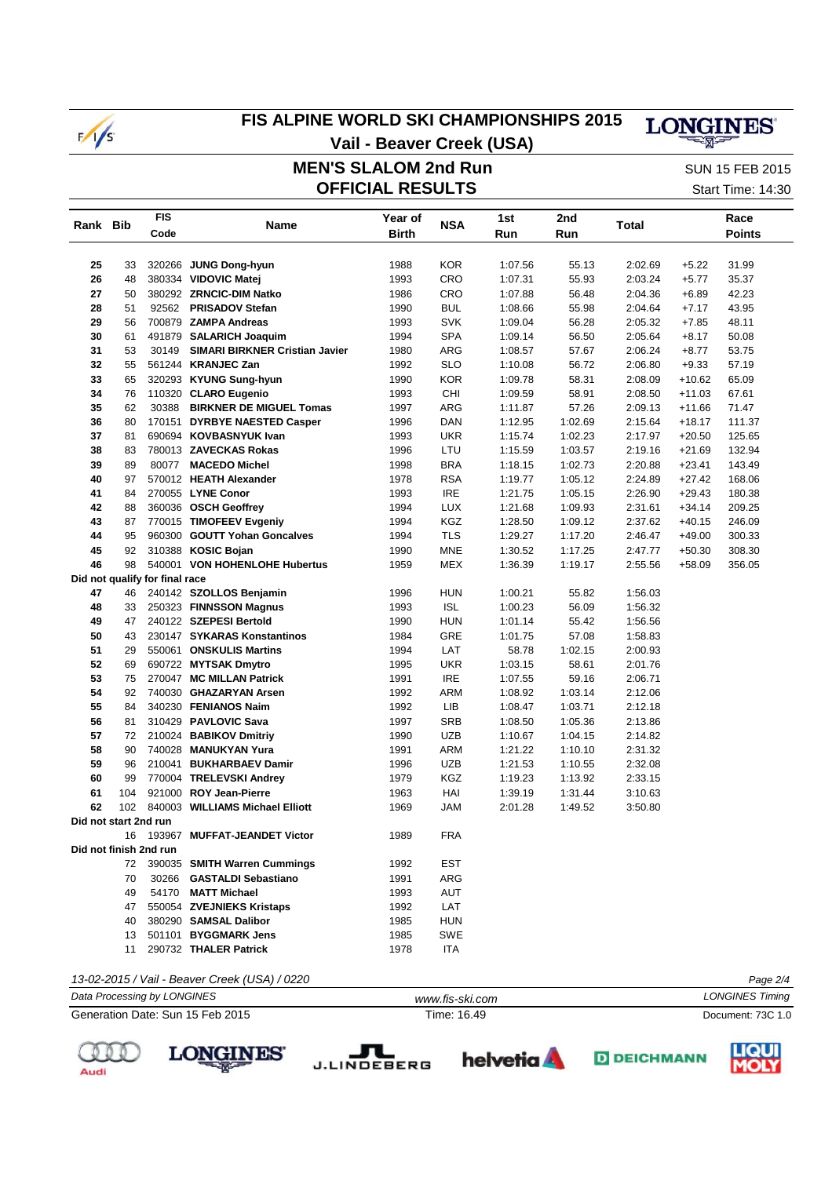

# **FIS ALPINE WORLD SKI CHAMPIONSHIPS 2015**



 **MEN'S SLALOM 2nd Run Vail - Beaver Creek (USA)**

**OFFICIAL RESULTS** Start Time: 14:30 SUN 15 FEB 2015

| Rank Bib<br>25                 | 33<br>48 | Code  | Name                            | <b>Birth</b> | <b>NSA</b> | 1st<br>Run | Run     | Total   |          | Race<br><b>Points</b> |
|--------------------------------|----------|-------|---------------------------------|--------------|------------|------------|---------|---------|----------|-----------------------|
|                                |          |       |                                 |              |            |            |         |         |          |                       |
|                                |          |       |                                 |              |            |            |         |         |          |                       |
|                                |          |       | 320266 JUNG Dong-hyun           | 1988         | <b>KOR</b> | 1:07.56    | 55.13   | 2:02.69 | $+5.22$  | 31.99                 |
| 26                             |          |       | 380334 VIDOVIC Matej            | 1993         | CRO        | 1:07.31    | 55.93   | 2:03.24 | $+5.77$  | 35.37                 |
| 27                             | 50       |       | 380292 ZRNCIC-DIM Natko         | 1986         | CRO        | 1:07.88    | 56.48   | 2:04.36 | $+6.89$  | 42.23                 |
| 28                             | 51       |       | 92562 PRISADOV Stefan           | 1990         | <b>BUL</b> | 1:08.66    | 55.98   | 2:04.64 | $+7.17$  | 43.95                 |
| 29                             | 56       |       | 700879 ZAMPA Andreas            | 1993         | <b>SVK</b> | 1:09.04    | 56.28   | 2:05.32 | $+7.85$  | 48.11                 |
| 30                             | 61       |       | 491879 SALARICH Joaquim         | 1994         | <b>SPA</b> | 1:09.14    | 56.50   | 2:05.64 | $+8.17$  | 50.08                 |
| 31                             | 53       | 30149 | SIMARI BIRKNER Cristian Javier  | 1980         | ARG        | 1:08.57    | 57.67   | 2:06.24 | $+8.77$  | 53.75                 |
| 32                             | 55       |       | 561244 KRANJEC Zan              | 1992         | <b>SLO</b> | 1:10.08    | 56.72   | 2:06.80 | $+9.33$  | 57.19                 |
| 33                             | 65       |       | 320293 KYUNG Sung-hyun          | 1990         | <b>KOR</b> | 1:09.78    | 58.31   | 2:08.09 | +10.62   | 65.09                 |
| 34                             | 76       |       | 110320 CLARO Eugenio            | 1993         | CHI        | 1:09.59    | 58.91   | 2:08.50 | +11.03   | 67.61                 |
| 35                             | 62       |       | 30388 BIRKNER DE MIGUEL Tomas   | 1997         | ARG        |            | 57.26   | 2:09.13 |          | 71.47                 |
| 36                             | 80       |       |                                 |              |            | 1:11.87    |         |         | +11.66   |                       |
|                                |          |       | 170151 DYRBYE NAESTED Casper    | 1996         | <b>DAN</b> | 1:12.95    | 1:02.69 | 2:15.64 | +18.17   | 111.37                |
| 37                             | 81       |       | 690694 KOVBASNYUK Ivan          | 1993         | <b>UKR</b> | 1:15.74    | 1:02.23 | 2:17.97 | $+20.50$ | 125.65                |
| 38                             | 83       |       | 780013 ZAVECKAS Rokas           | 1996         | LTU        | 1:15.59    | 1:03.57 | 2:19.16 | $+21.69$ | 132.94                |
| 39                             | 89       |       | 80077 MACEDO Michel             | 1998         | <b>BRA</b> | 1:18.15    | 1:02.73 | 2:20.88 | $+23.41$ | 143.49                |
| 40                             | 97       |       | 570012 HEATH Alexander          | 1978         | <b>RSA</b> | 1:19.77    | 1:05.12 | 2:24.89 | $+27.42$ | 168.06                |
| 41                             | 84       |       | 270055 LYNE Conor               | 1993         | IRE        | 1:21.75    | 1:05.15 | 2:26.90 | $+29.43$ | 180.38                |
| 42                             | 88       |       | 360036 OSCH Geoffrey            | 1994         | <b>LUX</b> | 1:21.68    | 1:09.93 | 2:31.61 | $+34.14$ | 209.25                |
| 43                             | 87       |       | 770015 TIMOFEEV Evgeniy         | 1994         | <b>KGZ</b> | 1:28.50    | 1:09.12 | 2:37.62 | $+40.15$ | 246.09                |
| 44                             | 95       |       | 960300 GOUTT Yohan Goncalves    | 1994         | TLS        | 1:29.27    | 1:17.20 | 2:46.47 | +49.00   | 300.33                |
| 45                             | 92       |       | 310388 KOSIC Bojan              | 1990         | <b>MNE</b> | 1:30.52    | 1:17.25 | 2:47.77 | $+50.30$ | 308.30                |
| 46                             | 98       |       | 540001 VON HOHENLOHE Hubertus   | 1959         | <b>MEX</b> | 1:36.39    | 1:19.17 | 2:55.56 | $+58.09$ | 356.05                |
| Did not qualify for final race |          |       |                                 |              |            |            |         |         |          |                       |
| 47                             | 46       |       | 240142 SZOLLOS Benjamin         | 1996         | <b>HUN</b> | 1:00.21    | 55.82   | 1:56.03 |          |                       |
| 48                             | 33       |       | 250323 FINNSSON Magnus          | 1993         | <b>ISL</b> | 1:00.23    | 56.09   | 1:56.32 |          |                       |
| 49                             | 47       |       | 240122 SZEPESI Bertold          | 1990         | <b>HUN</b> | 1:01.14    | 55.42   | 1:56.56 |          |                       |
| 50                             | 43       |       | 230147 SYKARAS Konstantinos     | 1984         | GRE        | 1:01.75    | 57.08   | 1:58.83 |          |                       |
| 51                             | 29       |       | 550061 ONSKULIS Martins         | 1994         | LAT        | 58.78      | 1:02.15 | 2:00.93 |          |                       |
| 52                             | 69       |       | 690722 MYTSAK Dmytro            | 1995         | <b>UKR</b> | 1:03.15    | 58.61   | 2:01.76 |          |                       |
| 53                             | 75       |       | 270047 MC MILLAN Patrick        | 1991         | <b>IRE</b> | 1:07.55    | 59.16   | 2:06.71 |          |                       |
| 54                             | 92       |       | 740030 GHAZARYAN Arsen          | 1992         | <b>ARM</b> | 1:08.92    | 1:03.14 | 2:12.06 |          |                       |
| 55                             | 84       |       | 340230 FENIANOS Naim            | 1992         | LIB        | 1:08.47    | 1:03.71 | 2:12.18 |          |                       |
| 56                             | 81       |       | 310429 PAVLOVIC Sava            | 1997         | <b>SRB</b> | 1:08.50    | 1:05.36 | 2:13.86 |          |                       |
| 57                             | 72       |       | 210024 BABIKOV Dmitriy          | 1990         | <b>UZB</b> | 1:10.67    | 1:04.15 | 2:14.82 |          |                       |
| 58                             | 90       |       | 740028 MANUKYAN Yura            | 1991         | ARM        | 1:21.22    | 1:10.10 | 2:31.32 |          |                       |
| 59                             | 96       |       | 210041 BUKHARBAEV Damir         | 1996         | <b>UZB</b> | 1:21.53    | 1:10.55 | 2:32.08 |          |                       |
| 60                             | 99       |       | 770004 TRELEVSKI Andrey         | 1979         | KGZ        | 1:19.23    | 1:13.92 | 2:33.15 |          |                       |
| 61                             | 104      |       | 921000 ROY Jean-Pierre          | 1963         | HAI        | 1:39.19    | 1:31.44 | 3:10.63 |          |                       |
| 62                             | 102      |       | 840003 WILLIAMS Michael Elliott | 1969         | <b>JAM</b> | 2:01.28    | 1:49.52 | 3:50.80 |          |                       |
| Did not start 2nd run          |          |       |                                 |              |            |            |         |         |          |                       |
|                                | 16       |       | 193967 MUFFAT-JEANDET Victor    | 1989         | <b>FRA</b> |            |         |         |          |                       |
| Did not finish 2nd run         |          |       |                                 |              |            |            |         |         |          |                       |
|                                | 72       |       | 390035 SMITH Warren Cummings    | 1992         | <b>EST</b> |            |         |         |          |                       |
|                                | 70       |       | 30266 GASTALDI Sebastiano       | 1991         | ARG        |            |         |         |          |                       |
|                                | 49       |       | 54170 MATT Michael              | 1993         | <b>AUT</b> |            |         |         |          |                       |
|                                | 47       |       | 550054 ZVEJNIEKS Kristaps       | 1992         | LAT        |            |         |         |          |                       |
|                                | 40       |       | 380290 SAMSAL Dalibor           | 1985         | <b>HUN</b> |            |         |         |          |                       |
|                                | 13       |       | 501101 BYGGMARK Jens            | 1985         | SWE        |            |         |         |          |                       |
|                                | 11       |       | 290732 THALER Patrick           | 1978         | ITA        |            |         |         |          |                       |
|                                |          |       |                                 |              |            |            |         |         |          |                       |

| 13-02-2015 / Vail - Beaver Creek (USA) / 0220 |                 | Page 2/4          |
|-----------------------------------------------|-----------------|-------------------|
| Data Processing by LONGINES                   | www.fis-ski.com | LONGINES Timing   |
| Generation Date: Sun 15 Feb 2015              | Time: 16.49     | Document: 73C 1.0 |











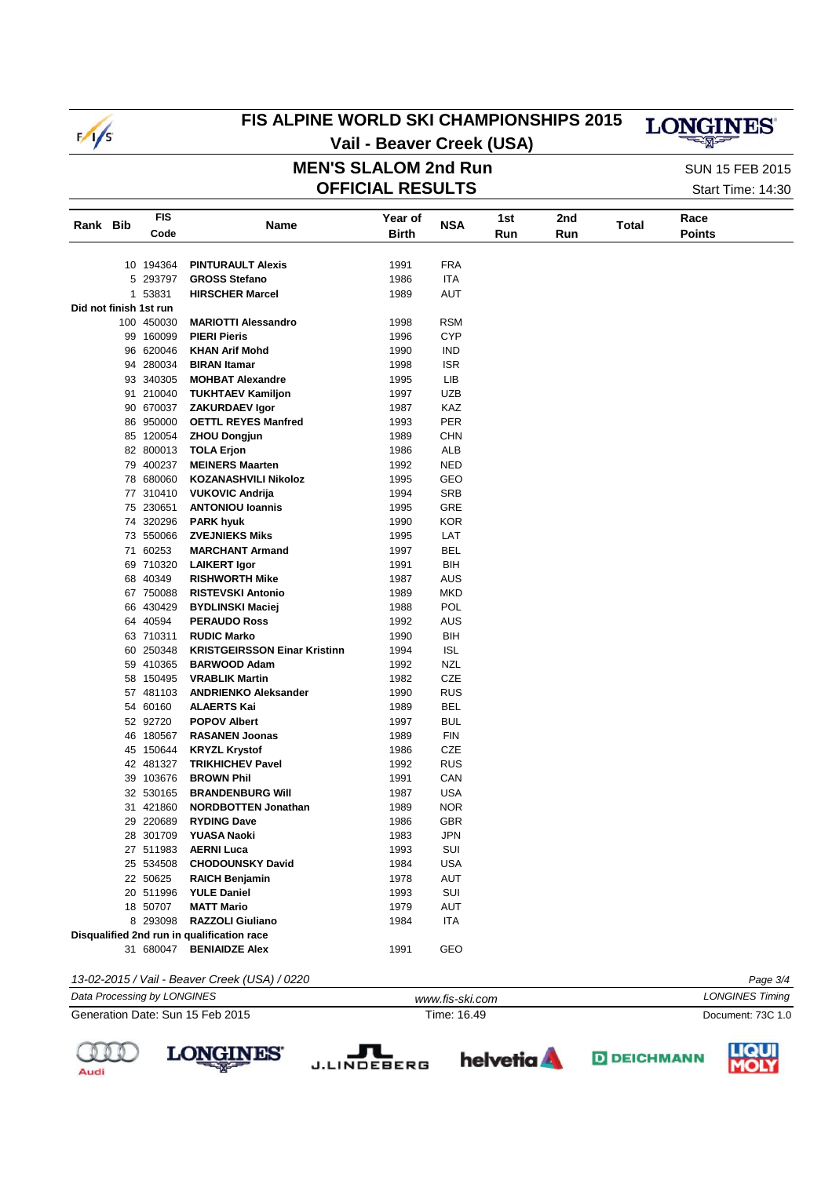

### FIS ALPINE WORLD SKI CHAMPIONSHIPS 2015

# **LONGINES**

Vail - Beaver Creek (USA) **MEN'S SLALOM 2nd Run** 

**OFFICIAL RESULTS** 

**SUN 15 FEB 2015** Start Time: 14:30

| Rank Bib | <b>FIS</b>             | Name                                          | Year of      | <b>NSA</b> | 1st | 2nd | Total | Race          |  |
|----------|------------------------|-----------------------------------------------|--------------|------------|-----|-----|-------|---------------|--|
|          | Code                   |                                               | <b>Birth</b> |            | Run | Run |       | <b>Points</b> |  |
|          |                        |                                               |              |            |     |     |       |               |  |
|          | 10 194364              | <b>PINTURAULT Alexis</b>                      | 1991         | <b>FRA</b> |     |     |       |               |  |
|          | 5 293797               | <b>GROSS Stefano</b>                          | 1986         | ITA        |     |     |       |               |  |
|          | 1 53831                | <b>HIRSCHER Marcel</b>                        | 1989         | <b>AUT</b> |     |     |       |               |  |
|          | Did not finish 1st run |                                               |              |            |     |     |       |               |  |
|          | 100 450030             | <b>MARIOTTI Alessandro</b>                    | 1998         | <b>RSM</b> |     |     |       |               |  |
|          | 99 160099              | <b>PIERI Pieris</b>                           | 1996         | <b>CYP</b> |     |     |       |               |  |
|          | 96 620046              | <b>KHAN Arif Mohd</b>                         | 1990         | IND        |     |     |       |               |  |
|          | 94 280034              | <b>BIRAN Itamar</b>                           | 1998         | <b>ISR</b> |     |     |       |               |  |
|          | 93 340305              | <b>MOHBAT Alexandre</b>                       | 1995         | LIB        |     |     |       |               |  |
|          | 91 210040              | <b>TUKHTAEV Kamiljon</b>                      | 1997         | <b>UZB</b> |     |     |       |               |  |
|          | 90 670037              | <b>ZAKURDAEV Igor</b>                         | 1987         | KAZ        |     |     |       |               |  |
|          | 86 950000              | <b>OETTL REYES Manfred</b>                    | 1993         | PER        |     |     |       |               |  |
|          | 85 120054              | <b>ZHOU Dongjun</b>                           | 1989         | <b>CHN</b> |     |     |       |               |  |
|          | 82 800013              | <b>TOLA Erjon</b>                             | 1986         | ALB        |     |     |       |               |  |
|          | 79 400237              | <b>MEINERS Maarten</b>                        | 1992         | <b>NED</b> |     |     |       |               |  |
|          | 78 680060              | <b>KOZANASHVILI Nikoloz</b>                   | 1995         | GEO        |     |     |       |               |  |
|          | 77 310410              | <b>VUKOVIC Andrija</b>                        | 1994         | <b>SRB</b> |     |     |       |               |  |
|          | 75 230651              | <b>ANTONIOU Ioannis</b>                       | 1995         | GRE        |     |     |       |               |  |
|          | 74 320296              | <b>PARK hyuk</b>                              | 1990         | <b>KOR</b> |     |     |       |               |  |
|          | 73 550066              | <b>ZVEJNIEKS Miks</b>                         | 1995         | LAT        |     |     |       |               |  |
|          | 71 60253               | <b>MARCHANT Armand</b>                        | 1997         | BEL        |     |     |       |               |  |
|          | 69 710320              | <b>LAIKERT Igor</b>                           | 1991         | BIH        |     |     |       |               |  |
|          | 68 40349               | <b>RISHWORTH Mike</b>                         | 1987         | <b>AUS</b> |     |     |       |               |  |
|          | 67 750088              | <b>RISTEVSKI Antonio</b>                      | 1989         | <b>MKD</b> |     |     |       |               |  |
|          | 66 430429              | <b>BYDLINSKI Maciej</b>                       | 1988         | POL        |     |     |       |               |  |
|          | 64 40594               | <b>PERAUDO Ross</b>                           | 1992         | AUS        |     |     |       |               |  |
|          | 63 710311              | <b>RUDIC Marko</b>                            | 1990         | BIH        |     |     |       |               |  |
|          | 60 250348              | <b>KRISTGEIRSSON Einar Kristinn</b>           | 1994         | <b>ISL</b> |     |     |       |               |  |
|          | 59 410365              | <b>BARWOOD Adam</b>                           | 1992         | <b>NZL</b> |     |     |       |               |  |
|          | 58 150495              | <b>VRABLIK Martin</b>                         | 1982         | CZE        |     |     |       |               |  |
|          | 57 481103              | <b>ANDRIENKO Aleksander</b>                   | 1990         | <b>RUS</b> |     |     |       |               |  |
|          | 54 60160               | <b>ALAERTS Kai</b>                            | 1989         | BEL        |     |     |       |               |  |
|          | 52 92720               | <b>POPOV Albert</b>                           | 1997         | <b>BUL</b> |     |     |       |               |  |
|          | 46 180567              | <b>RASANEN Joonas</b>                         | 1989         | <b>FIN</b> |     |     |       |               |  |
|          | 45 150644              | <b>KRYZL Krystof</b>                          | 1986         | <b>CZE</b> |     |     |       |               |  |
|          | 42 481327              | <b>TRIKHICHEV Pavel</b>                       | 1992         | <b>RUS</b> |     |     |       |               |  |
|          | 39 103676              | <b>BROWN Phil</b>                             | 1991         | CAN        |     |     |       |               |  |
|          | 32 530165              | <b>BRANDENBURG WIII</b>                       | 1987         | <b>USA</b> |     |     |       |               |  |
|          | 31 421860              | <b>NORDBOTTEN Jonathan</b>                    | 1989         | <b>NOR</b> |     |     |       |               |  |
|          | 29 220689              | <b>RYDING Dave</b>                            | 1986         | <b>GBR</b> |     |     |       |               |  |
|          | 28 301709              | YUASA Naoki                                   | 1983         | <b>JPN</b> |     |     |       |               |  |
|          | 27 511983              | <b>AERNI Luca</b>                             | 1993         | SUI        |     |     |       |               |  |
|          | 25 534508              | <b>CHODOUNSKY David</b>                       | 1984         | <b>USA</b> |     |     |       |               |  |
|          | 22 50625               | <b>RAICH Benjamin</b>                         | 1978         | <b>AUT</b> |     |     |       |               |  |
|          | 20 511996              | <b>YULE Daniel</b>                            | 1993         | SUI        |     |     |       |               |  |
|          | 18 50707               | <b>MATT Mario</b>                             | 1979         | AUT        |     |     |       |               |  |
|          | 8 293098               | <b>RAZZOLI Giuliano</b>                       | 1984         | <b>ITA</b> |     |     |       |               |  |
|          |                        | Disqualified 2nd run in qualification race    |              |            |     |     |       |               |  |
|          | 31 680047              | <b>BENIAIDZE Alex</b>                         | 1991         | GEO        |     |     |       |               |  |
|          |                        |                                               |              |            |     |     |       |               |  |
|          |                        | 13-02-2015 / Vail - Beaver Creek (USA) / 0220 |              |            |     |     |       | Page 3/4      |  |

 $\frac{4}{1}$ **LONGINES Timing** Data Processing by LONGINES www.fis-ski.com Generation Date: Sun 15 Feb 2015 Time: 16.49 Document: 73C 1.0